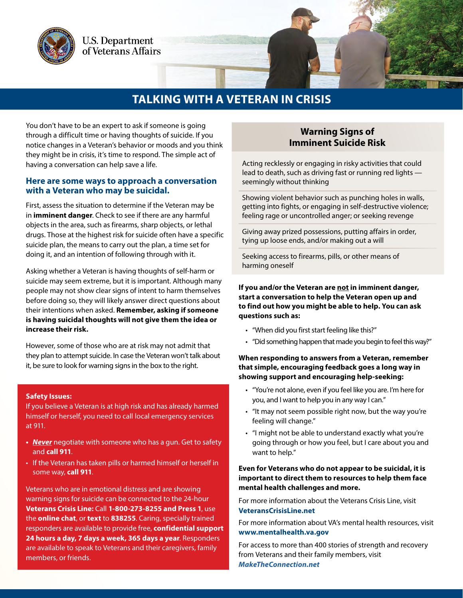

## **TALKING WITH A VETERAN IN CRISIS**

You don't have to be an expert to ask if someone is going through a difficult time or having thoughts of suicide. If you notice changes in a Veteran's behavior or moods and you think they might be in crisis, it's time to respond. The simple act of having a conversation can help save a life.

#### **Here are some ways to approach a conversation with a Veteran who may be suicidal.**

First, assess the situation to determine if the Veteran may be in **imminent danger**. Check to see if there are any harmful objects in the area, such as firearms, sharp objects, or lethal drugs. Those at the highest risk for suicide often have a specific suicide plan, the means to carry out the plan, a time set for doing it, and an intention of following through with it.

Asking whether a Veteran is having thoughts of self-harm or suicide may seem extreme, but it is important. Although many people may not show clear signs of intent to harm themselves before doing so, they will likely answer direct questions about their intentions when asked. **Remember, asking if someone is having suicidal thoughts will not give them the idea or increase their risk.**

However, some of those who are at risk may not admit that they plan to attempt suicide. In case the Veteran won't talk about it, be sure to look for warning signs in the box to the right.

#### **Safety Issues:**

If you believe a Veteran is at high risk and has already harmed himself or herself, you need to call local emergency services at 911.

- *• Never* negotiate with someone who has a gun. Get to safety and **call 911**.
- If the Veteran has taken pills or harmed himself or herself in some way, **call 911**.

Veterans who are in emotional distress and are showing warning signs for suicide can be connected to the 24-hour **Veterans Crisis Line:** Call **1-800-273-8255 and Press 1**, use the **online chat**, or **text** to **838255**. Caring, specially trained responders are available to provide free, **confidential support 24 hours a day, 7 days a week, 365 days a year**. Responders are available to speak to Veterans and their caregivers, family members, or friends.

### **Warning Signs of Imminent Suicide Risk**

Acting recklessly or engaging in risky activities that could lead to death, such as driving fast or running red lights seemingly without thinking

Showing violent behavior such as punching holes in walls, getting into fights, or engaging in self-destructive violence; feeling rage or uncontrolled anger; or seeking revenge

Giving away prized possessions, putting affairs in order, tying up loose ends, and/or making out a will

Seeking access to firearms, pills, or other means of harming oneself

#### **If you and/or the Veteran are not in imminent danger, start a conversation to help the Veteran open up and to find out how you might be able to help. You can ask questions such as:**

- "When did you first start feeling like this?"
- "Did something happen that made you begin to feel this way?"

#### **When responding to answers from a Veteran, remember that simple, encouraging feedback goes a long way in showing support and encouraging help-seeking:**

- "You're not alone, even if you feel like you are. I'm here for you, and I want to help you in any way I can."
- "It may not seem possible right now, but the way you're feeling will change."
- "I might not be able to understand exactly what you're going through or how you feel, but I care about you and want to help."

#### **Even for Veterans who do not appear to be suicidal, it is important to direct them to resources to help them face mental health challenges and more.**

For more information about the Veterans Crisis Line, visit **[VeteransCrisisLine.net](http://www.VeteransCrisisLine.net)**

For more information about VA's mental health resources, visit **<www.mentalhealth.va.gov>**

For access to more than 400 stories of strength and recovery from Veterans and their family members, visit *[MakeTheConnection.net](https://maketheconnection.net)*